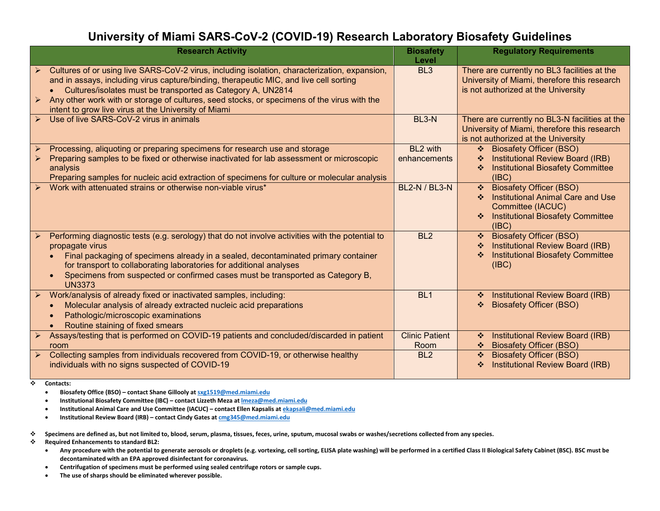## **University of Miami SARS-CoV-2 (COVID-19) Research Laboratory Biosafety Guidelines**

| <b>Research Activity</b>                                                                                                                                                                                                                                                                                                                                                                                                          | <b>Biosafety</b><br>Level     | <b>Regulatory Requirements</b>                                                                                                                                              |
|-----------------------------------------------------------------------------------------------------------------------------------------------------------------------------------------------------------------------------------------------------------------------------------------------------------------------------------------------------------------------------------------------------------------------------------|-------------------------------|-----------------------------------------------------------------------------------------------------------------------------------------------------------------------------|
| Cultures of or using live SARS-CoV-2 virus, including isolation, characterization, expansion,<br>and in assays, including virus capture/binding, therapeutic MIC, and live cell sorting<br>Cultures/isolates must be transported as Category A, UN2814<br>Any other work with or storage of cultures, seed stocks, or specimens of the virus with the<br>$\triangleright$<br>intent to grow live virus at the University of Miami | BL <sub>3</sub>               | There are currently no BL3 facilities at the<br>University of Miami, therefore this research<br>is not authorized at the University                                         |
| Use of live SARS-CoV-2 virus in animals                                                                                                                                                                                                                                                                                                                                                                                           | BL <sub>3</sub> -N            | There are currently no BL3-N facilities at the<br>University of Miami, therefore this research<br>is not authorized at the University                                       |
| Processing, aliquoting or preparing specimens for research use and storage<br>Preparing samples to be fixed or otherwise inactivated for lab assessment or microscopic<br>analysis<br>Preparing samples for nucleic acid extraction of specimens for culture or molecular analysis                                                                                                                                                | BL2 with<br>enhancements      | <b>Biosafety Officer (BSO)</b><br>$\mathcal{L}_{\mathcal{C}}$<br>Institutional Review Board (IRB)<br><b>Institutional Biosafety Committee</b><br>(IBC)                      |
| Work with attenuated strains or otherwise non-viable virus*                                                                                                                                                                                                                                                                                                                                                                       | <b>BL2-N / BL3-N</b>          | <b>Biosafety Officer (BSO)</b><br>$\frac{1}{2}$<br><b>Institutional Animal Care and Use</b><br>桑。<br>Committee (IACUC)<br><b>Institutional Biosafety Committee</b><br>(IBC) |
| Performing diagnostic tests (e.g. serology) that do not involve activities with the potential to<br>propagate virus<br>Final packaging of specimens already in a sealed, decontaminated primary container<br>for transport to collaborating laboratories for additional analyses<br>Specimens from suspected or confirmed cases must be transported as Category B,<br><b>UN3373</b>                                               | BL <sub>2</sub>               | <b>Biosafety Officer (BSO)</b><br>$\mathcal{L}_{\mathcal{C}}$<br>Institutional Review Board (IRB)<br>泰<br><b>Institutional Biosafety Committee</b><br>泰<br>(IBC)            |
| Work/analysis of already fixed or inactivated samples, including:<br>Molecular analysis of already extracted nucleic acid preparations<br>Pathologic/microscopic examinations<br>Routine staining of fixed smears                                                                                                                                                                                                                 | BL <sub>1</sub>               | Institutional Review Board (IRB)<br>$\mathcal{L}_{\mathcal{C}}$<br><b>Biosafety Officer (BSO)</b><br>❖                                                                      |
| Assays/testing that is performed on COVID-19 patients and concluded/discarded in patient<br>room                                                                                                                                                                                                                                                                                                                                  | <b>Clinic Patient</b><br>Room | Institutional Review Board (IRB)<br>豪。<br><b>Biosafety Officer (BSO)</b>                                                                                                    |
| Collecting samples from individuals recovered from COVID-19, or otherwise healthy<br>$\blacktriangleright$<br>individuals with no signs suspected of COVID-19                                                                                                                                                                                                                                                                     | BL <sub>2</sub>               | <b>Biosafety Officer (BSO)</b><br>$\mathcal{L}_{\mathcal{C}}$<br>Institutional Review Board (IRB)<br>❖                                                                      |

**Contacts:**

- **Biosafety Office (BSO) – contact Shane Gillooly a[t sxg1519@med.miami.edu](mailto:sxg1519@med.miami.edu)**
- **Institutional Biosafety Committee (IBC) – contact Lizzeth Meza a[t lmeza@med.miami.edu](mailto:lmeza@med.miami.edu)**
- **Institutional Animal Care and Use Committee (IACUC) – contact Ellen Kapsalis at [ekapsali@med.miami.edu](mailto:ekapsali@med.miami.edu)**
- **Institutional Review Board (IRB) – contact Cindy Gates a[t cmg345@med.miami.edu](mailto:cmg345@med.miami.edu)**
- **Specimens are defined as, but not limited to, blood, serum, plasma, tissues, feces, urine, sputum, mucosal swabs or washes/secretions collected from any species.**
- **Required Enhancements to standard BL2:**
	- **Any procedure with the potential to generate aerosols or droplets (e.g. vortexing, cell sorting, ELISA plate washing) will be performed in a certified Class II Biological Safety Cabinet (BSC). BSC must be decontaminated with an EPA approved disinfectant for coronavirus.**
	- **Centrifugation of specimens must be performed using sealed centrifuge rotors or sample cups.**
	- **The use of sharps should be eliminated wherever possible.**